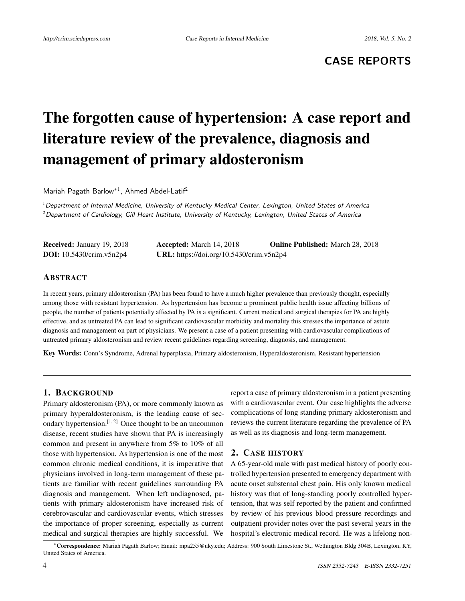# **CASE REPORTS**

# The forgotten cause of hypertension: A case report and literature review of the prevalence, diagnosis and management of primary aldosteronism

Mariah Pagath Barlow<sup>\*1</sup>, Ahmed Abdel-Latif<sup>2</sup>

 $1$ Department of Internal Medicine, University of Kentucky Medical Center, Lexington, United States of America  $2$ Department of Cardiology, Gill Heart Institute, University of Kentucky, Lexington, United States of America

| <b>Received: January 19, 2018</b> | <b>Accepted:</b> March 14, 2018          | <b>Online Published:</b> March 28, 2018 |
|-----------------------------------|------------------------------------------|-----------------------------------------|
| <b>DOI:</b> 10.5430/crim.v5n2p4   | URL: https://doi.org/10.5430/crim.v5n2p4 |                                         |

#### ABSTRACT

In recent years, primary aldosteronism (PA) has been found to have a much higher prevalence than previously thought, especially among those with resistant hypertension. As hypertension has become a prominent public health issue affecting billions of people, the number of patients potentially affected by PA is a significant. Current medical and surgical therapies for PA are highly effective, and as untreated PA can lead to significant cardiovascular morbidity and mortality this stresses the importance of astute diagnosis and management on part of physicians. We present a case of a patient presenting with cardiovascular complications of untreated primary aldosteronism and review recent guidelines regarding screening, diagnosis, and management.

Key Words: Conn's Syndrome, Adrenal hyperplasia, Primary aldosteronism, Hyperaldosteronism, Resistant hypertension

#### 1. BACKGROUND

Primary aldosteronism (PA), or more commonly known as primary hyperaldosteronism, is the leading cause of sec-ondary hypertension.<sup>[\[1,](#page-2-0)[2\]](#page-2-1)</sup> Once thought to be an uncommon disease, recent studies have shown that PA is increasingly common and present in anywhere from 5% to 10% of all those with hypertension. As hypertension is one of the most common chronic medical conditions, it is imperative that physicians involved in long-term management of these patients are familiar with recent guidelines surrounding PA diagnosis and management. When left undiagnosed, patients with primary aldosteronism have increased risk of cerebrovascular and cardiovascular events, which stresses the importance of proper screening, especially as current medical and surgical therapies are highly successful. We

report a case of primary aldosteronism in a patient presenting with a cardiovascular event. Our case highlights the adverse complications of long standing primary aldosteronism and reviews the current literature regarding the prevalence of PA as well as its diagnosis and long-term management.

#### 2. CASE HISTORY

A 65-year-old male with past medical history of poorly controlled hypertension presented to emergency department with acute onset substernal chest pain. His only known medical history was that of long-standing poorly controlled hypertension, that was self reported by the patient and confirmed by review of his previous blood pressure recordings and outpatient provider notes over the past several years in the hospital's electronic medical record. He was a lifelong non-

<sup>∗</sup>Correspondence: Mariah Pagath Barlow; Email: mpa255@uky.edu; Address: 900 South Limestone St., Wethington Bldg 304B, Lexington, KY, United States of America.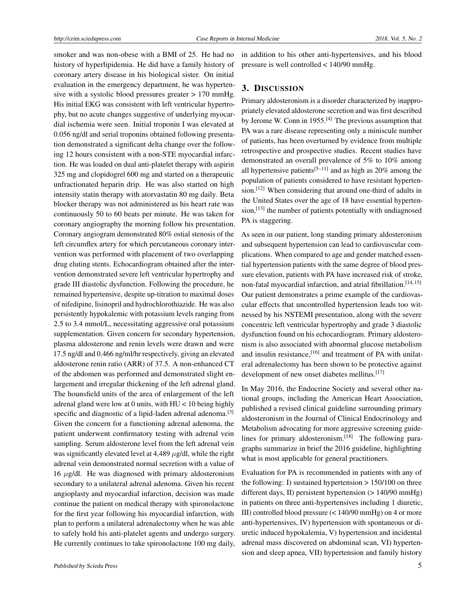smoker and was non-obese with a BMI of 25. He had no history of hyperlipidemia. He did have a family history of coronary artery disease in his biological sister. On initial evaluation in the emergency department, he was hypertensive with a systolic blood pressures greater > 170 mmHg. His initial EKG was consistent with left ventricular hypertrophy, but no acute changes suggestive of underlying myocardial ischemia were seen. Initial troponin I was elevated at 0.056 ng/dl and serial troponins obtained following presentation demonstrated a significant delta change over the following 12 hours consistent with a non-STE myocardial infarction. He was loaded on dual anti-platelet therapy with aspirin 325 mg and clopidogrel 600 mg and started on a therapeutic unfractionated heparin drip. He was also started on high intensity statin therapy with atorvastatin 80 mg daily. Beta blocker therapy was not administered as his heart rate was continuously 50 to 60 beats per minute. He was taken for coronary angiography the morning follow his presentation. Coronary angiogram demonstrated 80% ostial stenosis of the left circumflex artery for which percutaneous coronary intervention was performed with placement of two overlapping drug eluting stents. Echocardiogram obtained after the intervention demonstrated severe left ventricular hypertrophy and grade III diastolic dysfunction. Following the procedure, he remained hypertensive, despite up-titration to maximal doses of nifedipine, lisinopril and hydrochlorothiazide. He was also persistently hypokalemic with potassium levels ranging from 2.5 to 3.4 mmol/L, necessitating aggressive oral potassium supplementation. Given concern for secondary hypertension, plasma aldosterone and renin levels were drawn and were 17.5 ng/dl and 0.466 ng/ml/hr respectively, giving an elevated aldosterone renin ratio (ARR) of 37.5. A non-enhanced CT of the abdomen was performed and demonstrated slight enlargement and irregular thickening of the left adrenal gland. The hounsfield units of the area of enlargement of the left adrenal gland were low at 0 units, with  $HU < 10$  being highly specific and diagnostic of a lipid-laden adrenal adenoma.<sup>[\[3\]](#page-2-2)</sup> Given the concern for a functioning adrenal adenoma, the patient underwent confirmatory testing with adrenal vein sampling. Serum aldosterone level from the left adrenal vein was significantly elevated level at 4,489 *µ*g/dl, while the right adrenal vein demonstrated normal secretion with a value of 16 *µ*g/dl. He was diagnosed with primary aldosteronism secondary to a unilateral adrenal adenoma. Given his recent angioplasty and myocardial infarction, decision was made continue the patient on medical therapy with spironolactone for the first year following his myocardial infarction, with plan to perform a unilateral adrenalectomy when he was able to safely hold his anti-platelet agents and undergo surgery. He currently continues to take spironolactone 100 mg daily,

in addition to his other anti-hypertensives, and his blood pressure is well controlled < 140/90 mmHg.

### 3. DISCUSSION

Primary aldosteronism is a disorder characterized by inappropriately elevated aldosterone secretion and was first described by Jerome W. Conn in 1955.<sup>[\[4\]](#page-3-0)</sup> The previous assumption that PA was a rare disease representing only a miniscule number of patients, has been overturned by evidence from multiple retrospective and prospective studies. Recent studies have demonstrated an overall prevalence of 5% to 10% among all hypertensive patients<sup>[5-[11\]](#page-3-2)</sup> and as high as  $20\%$  among the population of patients considered to have resistant hyperten-sion.<sup>[\[12\]](#page-3-3)</sup> When considering that around one-third of adults in the United States over the age of 18 have essential hyperten-sion,<sup>[\[13\]](#page-3-4)</sup> the number of patients potentially with undiagnosed PA is staggering.

As seen in our patient, long standing primary aldosteronism and subsequent hypertension can lead to cardiovascular complications. When compared to age and gender matched essential hypertension patients with the same degree of blood pressure elevation, patients with PA have increased risk of stroke, non-fatal myocardial infarction, and atrial fibrillation.<sup>[\[14,](#page-3-5) [15\]](#page-3-6)</sup> Our patient demonstrates a prime example of the cardiovascular effects that uncontrolled hypertension leads too witnessed by his NSTEMI presentation, along with the severe concentric left ventricular hypertrophy and grade 3 diastolic dysfunction found on his echocardiogram. Primary aldosteronism is also associated with abnormal glucose metabolism and insulin resistance,<sup>[\[16\]](#page-3-7)</sup> and treatment of PA with unilateral adrenalectomy has been shown to be protective against development of new onset diabetes mellitus.<sup>[\[17\]](#page-3-8)</sup>

In May 2016, the Endocrine Society and several other national groups, including the American Heart Association, published a revised clinical guideline surrounding primary aldosteronism in the Journal of Clinical Endocrinology and Metabolism advocating for more aggressive screening guide-lines for primary aldosteronism.<sup>[\[18\]](#page-3-9)</sup> The following paragraphs summarize in brief the 2016 guideline, highlighting what is most applicable for general practitioners.

Evaluation for PA is recommended in patients with any of the following: I) sustained hypertension  $> 150/100$  on three different days, II) persistent hypertension (> 140/90 mmHg) in patients on three anti-hypertensives including 1 diuretic, III) controlled blood pressure (< 140/90 mmHg) on 4 or more anti-hypertensives, IV) hypertension with spontaneous or diuretic induced hypokalemia, V) hypertension and incidental adrenal mass discovered on abdominal scan, VI) hypertension and sleep apnea, VII) hypertension and family history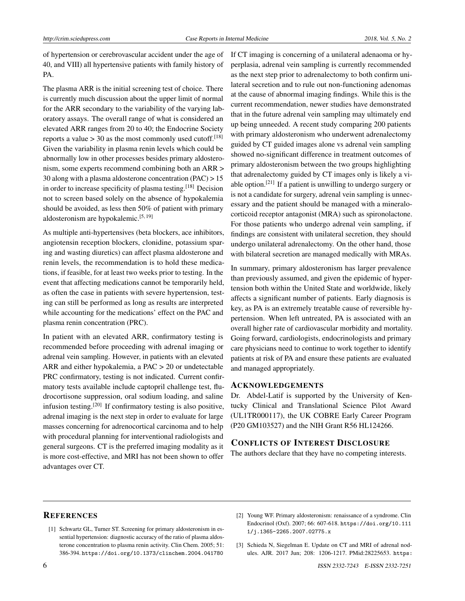of hypertension or cerebrovascular accident under the age of 40, and VIII) all hypertensive patients with family history of PA.

The plasma ARR is the initial screening test of choice. There is currently much discussion about the upper limit of normal for the ARR secondary to the variability of the varying laboratory assays. The overall range of what is considered an elevated ARR ranges from 20 to 40; the Endocrine Society reports a value  $>$  30 as the most commonly used cutoff.<sup>[\[18\]](#page-3-9)</sup> Given the variability in plasma renin levels which could be abnormally low in other processes besides primary aldosteronism, some experts recommend combining both an ARR > 30 along with a plasma aldosterone concentration (PAC) > 15 in order to increase specificity of plasma testing.<sup>[\[18\]](#page-3-9)</sup> Decision not to screen based solely on the absence of hypokalemia should be avoided, as less then 50% of patient with primary aldosteronism are hypokalemic.[\[5,](#page-3-1) [19\]](#page-3-10)

As multiple anti-hypertensives (beta blockers, ace inhibitors, angiotensin reception blockers, clonidine, potassium sparing and wasting diuretics) can affect plasma aldosterone and renin levels, the recommendation is to hold these medications, if feasible, for at least two weeks prior to testing. In the event that affecting medications cannot be temporarily held, as often the case in patients with severe hypertension, testing can still be performed as long as results are interpreted while accounting for the medications' effect on the PAC and plasma renin concentration (PRC).

In patient with an elevated ARR, confirmatory testing is recommended before proceeding with adrenal imaging or adrenal vein sampling. However, in patients with an elevated ARR and either hypokalemia, a PAC > 20 or undetectable PRC confirmatory, testing is not indicated. Current confirmatory tests available include captopril challenge test, fludrocortisone suppression, oral sodium loading, and saline infusion testing.<sup>[\[20\]](#page-3-11)</sup> If confirmatory testing is also positive, adrenal imaging is the next step in order to evaluate for large masses concerning for adrenocortical carcinoma and to help with procedural planning for interventional radiologists and general surgeons. CT is the preferred imaging modality as it is more cost-effective, and MRI has not been shown to offer advantages over CT.

If CT imaging is concerning of a unilateral adenaoma or hyperplasia, adrenal vein sampling is currently recommended as the next step prior to adrenalectomy to both confirm unilateral secretion and to rule out non-functioning adenomas at the cause of abnormal imaging findings. While this is the current recommendation, newer studies have demonstrated that in the future adrenal vein sampling may ultimately end up being unneeded. A recent study comparing 200 patients with primary aldosteronism who underwent adrenalectomy guided by CT guided images alone vs adrenal vein sampling showed no-significant difference in treatment outcomes of primary aldosteronism between the two groups highlighting that adrenalectomy guided by CT images only is likely a vi-able option.<sup>[\[21\]](#page-3-12)</sup> If a patient is unwilling to undergo surgery or is not a candidate for surgery, adrenal vein sampling is unnecessary and the patient should be managed with a mineralocorticoid receptor antagonist (MRA) such as spironolactone. For those patients who undergo adrenal vein sampling, if findings are consistent with unilateral secretion, they should undergo unilateral adrenalectomy. On the other hand, those with bilateral secretion are managed medically with MRAs.

In summary, primary aldosteronism has larger prevalence than previously assumed, and given the epidemic of hypertension both within the United State and worldwide, likely affects a significant number of patients. Early diagnosis is key, as PA is an extremely treatable cause of reversible hypertension. When left untreated, PA is associated with an overall higher rate of cardiovascular morbidity and mortality. Going forward, cardiologists, endocrinologists and primary care physicians need to continue to work together to identify patients at risk of PA and ensure these patients are evaluated and managed appropriately.

#### ACKNOWLEDGEMENTS

Dr. Abdel-Latif is supported by the University of Kentucky Clinical and Translational Science Pilot Award (UL1TR000117), the UK COBRE Early Career Program (P20 GM103527) and the NIH Grant R56 HL124266.

#### CONFLICTS OF INTEREST DISCLOSURE

The authors declare that they have no competing interests.

## **REFERENCES**

- <span id="page-2-0"></span>[1] Schwartz GL, Turner ST. Screening for primary aldosteronism in essential hypertension: diagnostic accuracy of the ratio of plasma aldosterone concentration to plasma renin activity. Clin Chem. 2005; 51: 386-394. <https://doi.org/10.1373/clinchem.2004.041780>
- <span id="page-2-1"></span>[2] Young WF. Primary aldosteronism: renaissance of a syndrome. Clin Endocrinol (Oxf). 2007; 66: 607-618. [https://doi.org/10.111](https://doi.org/10.1111/j.1365-2265.2007.02775.x) [1/j.1365-2265.2007.02775.x](https://doi.org/10.1111/j.1365-2265.2007.02775.x)
- <span id="page-2-2"></span>[3] Schieda N, Siegelman E. Update on CT and MRI of adrenal nodules. AJR. 2017 Jun; 208: 1206-1217. PMid:28225653. [https:](https://doi.org/10.2214/AJR.16.17758)